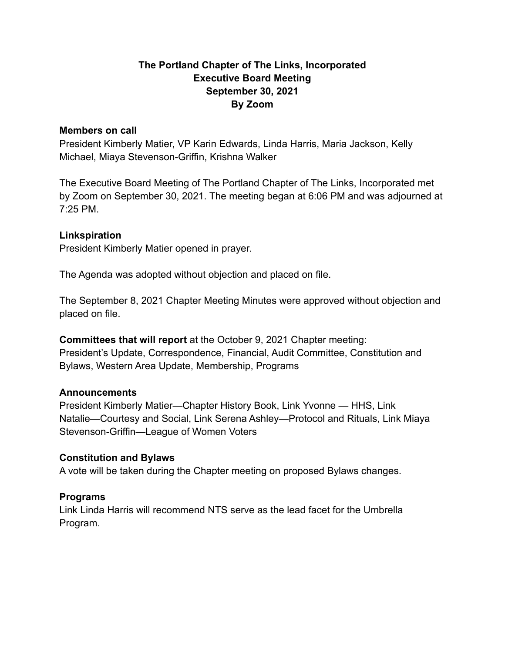# **The Portland Chapter of The Links, Incorporated Executive Board Meeting September 30, 2021 By Zoom**

#### **Members on call**

President Kimberly Matier, VP Karin Edwards, Linda Harris, Maria Jackson, Kelly Michael, Miaya Stevenson-Griffin, Krishna Walker

The Executive Board Meeting of The Portland Chapter of The Links, Incorporated met by Zoom on September 30, 2021. The meeting began at 6:06 PM and was adjourned at 7:25 PM.

### **Linkspiration**

President Kimberly Matier opened in prayer.

The Agenda was adopted without objection and placed on file.

The September 8, 2021 Chapter Meeting Minutes were approved without objection and placed on file.

**Committees that will report** at the October 9, 2021 Chapter meeting: President's Update, Correspondence, Financial, Audit Committee, Constitution and Bylaws, Western Area Update, Membership, Programs

#### **Announcements**

President Kimberly Matier—Chapter History Book, Link Yvonne — HHS, Link Natalie—Courtesy and Social, Link Serena Ashley—Protocol and Rituals, Link Miaya Stevenson-Griffin—League of Women Voters

#### **Constitution and Bylaws**

A vote will be taken during the Chapter meeting on proposed Bylaws changes.

### **Programs**

Link Linda Harris will recommend NTS serve as the lead facet for the Umbrella Program.